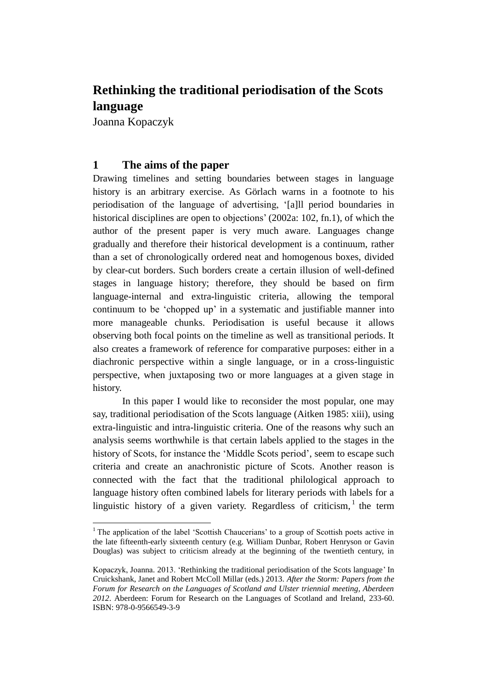# **Rethinking the traditional periodisation of the Scots language**

Joanna Kopaczyk

 $\overline{a}$ 

# **1 The aims of the paper**

Drawing timelines and setting boundaries between stages in language history is an arbitrary exercise. As Görlach warns in a footnote to his periodisation of the language of advertising, '[a]ll period boundaries in historical disciplines are open to objections' (2002a: 102, fn.1), of which the author of the present paper is very much aware. Languages change gradually and therefore their historical development is a continuum, rather than a set of chronologically ordered neat and homogenous boxes, divided by clear-cut borders. Such borders create a certain illusion of well-defined stages in language history; therefore, they should be based on firm language-internal and extra-linguistic criteria, allowing the temporal continuum to be 'chopped up' in a systematic and justifiable manner into more manageable chunks. Periodisation is useful because it allows observing both focal points on the timeline as well as transitional periods. It also creates a framework of reference for comparative purposes: either in a diachronic perspective within a single language, or in a cross-linguistic perspective, when juxtaposing two or more languages at a given stage in history.

In this paper I would like to reconsider the most popular, one may say, traditional periodisation of the Scots language (Aitken 1985: xiii), using extra-linguistic and intra-linguistic criteria. One of the reasons why such an analysis seems worthwhile is that certain labels applied to the stages in the history of Scots, for instance the 'Middle Scots period', seem to escape such criteria and create an anachronistic picture of Scots. Another reason is connected with the fact that the traditional philological approach to language history often combined labels for literary periods with labels for a linguistic history of a given variety. Regardless of criticism,  $1$  the term

<sup>&</sup>lt;sup>1</sup> The application of the label 'Scottish Chaucerians' to a group of Scottish poets active in the late fifteenth-early sixteenth century (e.g. William Dunbar, Robert Henryson or Gavin Douglas) was subject to criticism already at the beginning of the twentieth century, in

Kopaczyk, Joanna. 2013. 'Rethinking the traditional periodisation of the Scots language' In Cruickshank, Janet and Robert McColl Millar (eds.) 2013. *After the Storm: Papers from the Forum for Research on the Languages of Scotland and Ulster triennial meeting, Aberdeen 2012*. Aberdeen: Forum for Research on the Languages of Scotland and Ireland, 233-60. ISBN: 978-0-9566549-3-9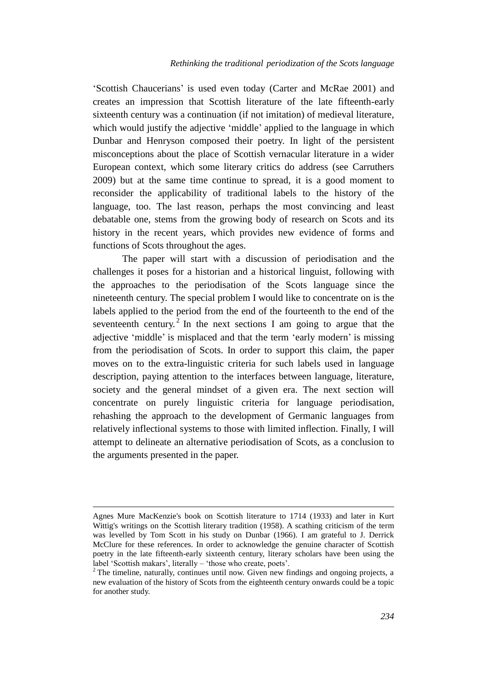'Scottish Chaucerians' is used even today (Carter and McRae 2001) and creates an impression that Scottish literature of the late fifteenth-early sixteenth century was a continuation (if not imitation) of medieval literature, which would justify the adjective 'middle' applied to the language in which Dunbar and Henryson composed their poetry. In light of the persistent misconceptions about the place of Scottish vernacular literature in a wider European context, which some literary critics do address (see Carruthers 2009) but at the same time continue to spread, it is a good moment to reconsider the applicability of traditional labels to the history of the language, too. The last reason, perhaps the most convincing and least debatable one, stems from the growing body of research on Scots and its history in the recent years, which provides new evidence of forms and functions of Scots throughout the ages.

The paper will start with a discussion of periodisation and the challenges it poses for a historian and a historical linguist, following with the approaches to the periodisation of the Scots language since the nineteenth century. The special problem I would like to concentrate on is the labels applied to the period from the end of the fourteenth to the end of the seventeenth century.<sup>2</sup> In the next sections I am going to argue that the adjective 'middle' is misplaced and that the term 'early modern' is missing from the periodisation of Scots. In order to support this claim, the paper moves on to the extra-linguistic criteria for such labels used in language description, paying attention to the interfaces between language, literature, society and the general mindset of a given era. The next section will concentrate on purely linguistic criteria for language periodisation, rehashing the approach to the development of Germanic languages from relatively inflectional systems to those with limited inflection. Finally, I will attempt to delineate an alternative periodisation of Scots, as a conclusion to the arguments presented in the paper.

Agnes Mure MacKenzie's book on Scottish literature to 1714 (1933) and later in Kurt Wittig's writings on the Scottish literary tradition (1958). A scathing criticism of the term was levelled by Tom Scott in his study on Dunbar (1966). I am grateful to J. Derrick McClure for these references. In order to acknowledge the genuine character of Scottish poetry in the late fifteenth-early sixteenth century, literary scholars have been using the label 'Scottish makars', literally – 'those who create, poets'.

 $2$ <sup>2</sup> The timeline, naturally, continues until now. Given new findings and ongoing projects, a new evaluation of the history of Scots from the eighteenth century onwards could be a topic for another study.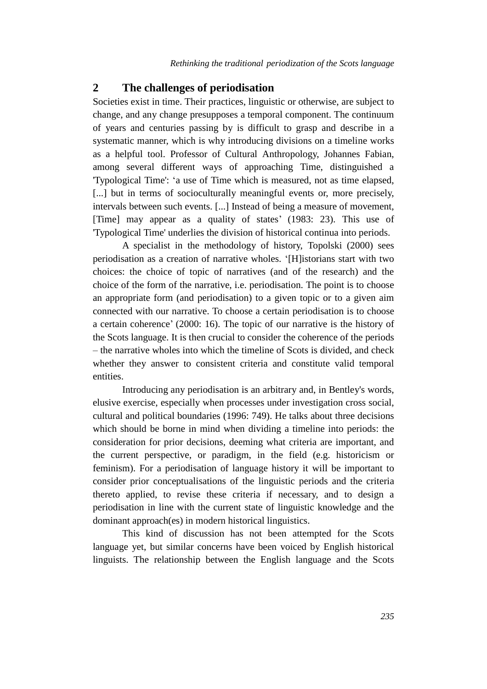## **2 The challenges of periodisation**

Societies exist in time. Their practices, linguistic or otherwise, are subject to change, and any change presupposes a temporal component. The continuum of years and centuries passing by is difficult to grasp and describe in a systematic manner, which is why introducing divisions on a timeline works as a helpful tool. Professor of Cultural Anthropology, Johannes Fabian, among several different ways of approaching Time, distinguished a 'Typological Time': 'a use of Time which is measured, not as time elapsed, [...] but in terms of socioculturally meaningful events or, more precisely, intervals between such events. [...] Instead of being a measure of movement, [Time] may appear as a quality of states' (1983: 23). This use of 'Typological Time' underlies the division of historical continua into periods.

A specialist in the methodology of history, Topolski (2000) sees periodisation as a creation of narrative wholes. '[H]istorians start with two choices: the choice of topic of narratives (and of the research) and the choice of the form of the narrative, i.e. periodisation. The point is to choose an appropriate form (and periodisation) to a given topic or to a given aim connected with our narrative. To choose a certain periodisation is to choose a certain coherence' (2000: 16). The topic of our narrative is the history of the Scots language. It is then crucial to consider the coherence of the periods – the narrative wholes into which the timeline of Scots is divided, and check whether they answer to consistent criteria and constitute valid temporal entities.

Introducing any periodisation is an arbitrary and, in Bentley's words, elusive exercise, especially when processes under investigation cross social, cultural and political boundaries (1996: 749). He talks about three decisions which should be borne in mind when dividing a timeline into periods: the consideration for prior decisions, deeming what criteria are important, and the current perspective, or paradigm, in the field (e.g. historicism or feminism). For a periodisation of language history it will be important to consider prior conceptualisations of the linguistic periods and the criteria thereto applied, to revise these criteria if necessary, and to design a periodisation in line with the current state of linguistic knowledge and the dominant approach(es) in modern historical linguistics.

This kind of discussion has not been attempted for the Scots language yet, but similar concerns have been voiced by English historical linguists. The relationship between the English language and the Scots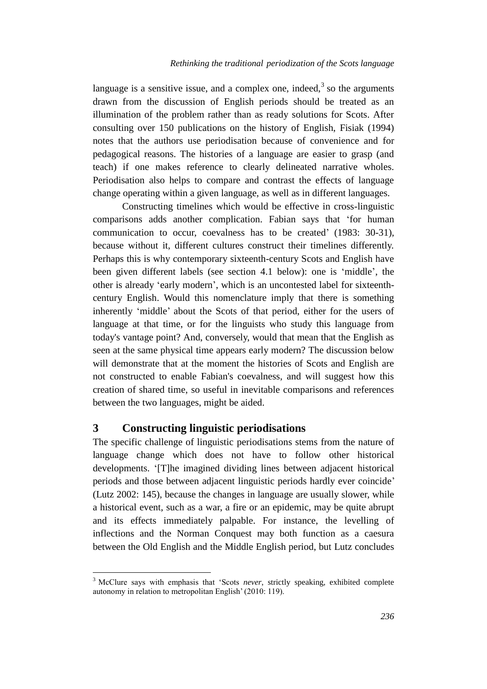language is a sensitive issue, and a complex one, indeed,  $3$  so the arguments drawn from the discussion of English periods should be treated as an illumination of the problem rather than as ready solutions for Scots. After consulting over 150 publications on the history of English, Fisiak (1994) notes that the authors use periodisation because of convenience and for pedagogical reasons. The histories of a language are easier to grasp (and teach) if one makes reference to clearly delineated narrative wholes. Periodisation also helps to compare and contrast the effects of language change operating within a given language, as well as in different languages.

Constructing timelines which would be effective in cross-linguistic comparisons adds another complication. Fabian says that 'for human communication to occur, coevalness has to be created' (1983: 30-31), because without it, different cultures construct their timelines differently. Perhaps this is why contemporary sixteenth-century Scots and English have been given different labels (see section 4.1 below): one is 'middle', the other is already 'early modern', which is an uncontested label for sixteenthcentury English. Would this nomenclature imply that there is something inherently 'middle' about the Scots of that period, either for the users of language at that time, or for the linguists who study this language from today's vantage point? And, conversely, would that mean that the English as seen at the same physical time appears early modern? The discussion below will demonstrate that at the moment the histories of Scots and English are not constructed to enable Fabian's coevalness, and will suggest how this creation of shared time, so useful in inevitable comparisons and references between the two languages, might be aided.

## **3 Constructing linguistic periodisations**

The specific challenge of linguistic periodisations stems from the nature of language change which does not have to follow other historical developments. '[T]he imagined dividing lines between adjacent historical periods and those between adjacent linguistic periods hardly ever coincide' (Lutz 2002: 145), because the changes in language are usually slower, while a historical event, such as a war, a fire or an epidemic, may be quite abrupt and its effects immediately palpable. For instance, the levelling of inflections and the Norman Conquest may both function as a caesura between the Old English and the Middle English period, but Lutz concludes

<sup>3</sup> McClure says with emphasis that 'Scots *never*, strictly speaking, exhibited complete autonomy in relation to metropolitan English' (2010: 119).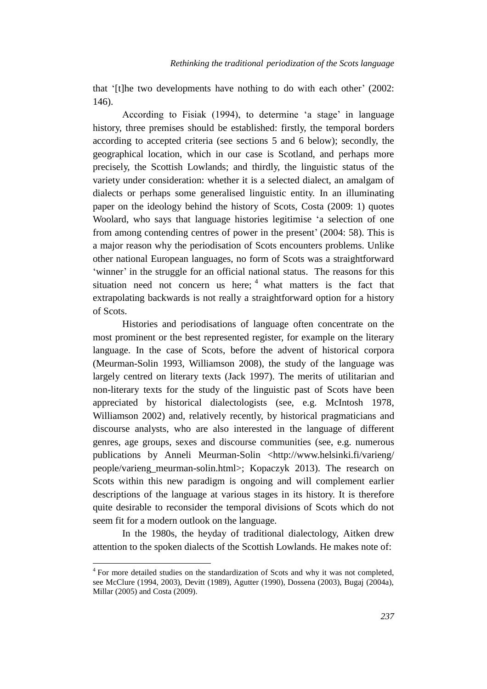that '[t]he two developments have nothing to do with each other' (2002: 146).

According to Fisiak (1994), to determine 'a stage' in language history, three premises should be established: firstly, the temporal borders according to accepted criteria (see sections 5 and 6 below); secondly, the geographical location, which in our case is Scotland, and perhaps more precisely, the Scottish Lowlands; and thirdly, the linguistic status of the variety under consideration: whether it is a selected dialect, an amalgam of dialects or perhaps some generalised linguistic entity. In an illuminating paper on the ideology behind the history of Scots, Costa (2009: 1) quotes Woolard, who says that language histories legitimise 'a selection of one from among contending centres of power in the present' (2004: 58). This is a major reason why the periodisation of Scots encounters problems. Unlike other national European languages, no form of Scots was a straightforward 'winner' in the struggle for an official national status. The reasons for this situation need not concern us here;  $4$  what matters is the fact that extrapolating backwards is not really a straightforward option for a history of Scots.

Histories and periodisations of language often concentrate on the most prominent or the best represented register, for example on the literary language. In the case of Scots, before the advent of historical corpora (Meurman-Solin 1993, Williamson 2008), the study of the language was largely centred on literary texts (Jack 1997). The merits of utilitarian and non-literary texts for the study of the linguistic past of Scots have been appreciated by historical dialectologists (see, e.g. McIntosh 1978, Williamson 2002) and, relatively recently, by historical pragmaticians and discourse analysts, who are also interested in the language of different genres, age groups, sexes and discourse communities (see, e.g. numerous publications by Anneli Meurman-Solin <http://www.helsinki.fi/varieng/ people/varieng\_meurman-solin.html>; Kopaczyk 2013). The research on Scots within this new paradigm is ongoing and will complement earlier descriptions of the language at various stages in its history. It is therefore quite desirable to reconsider the temporal divisions of Scots which do not seem fit for a modern outlook on the language.

In the 1980s, the heyday of traditional dialectology, Aitken drew attention to the spoken dialects of the Scottish Lowlands. He makes note of:

<sup>&</sup>lt;sup>4</sup> For more detailed studies on the standardization of Scots and why it was not completed, see McClure (1994, 2003), Devitt (1989), Agutter (1990), Dossena (2003), Bugaj (2004a), Millar (2005) and Costa (2009).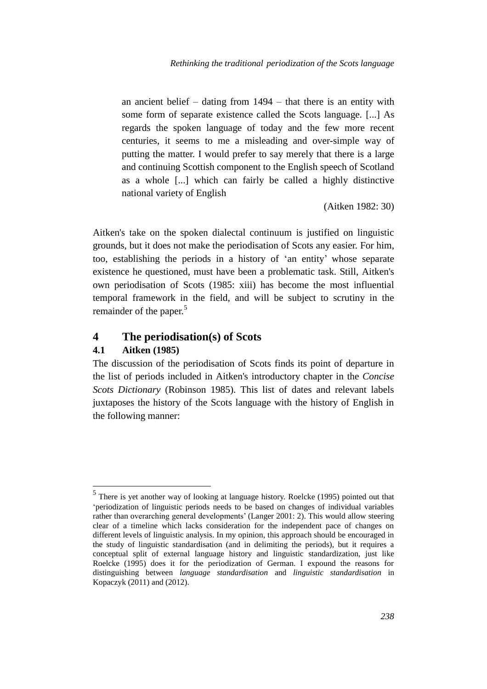an ancient belief – dating from 1494 – that there is an entity with some form of separate existence called the Scots language. [...] As regards the spoken language of today and the few more recent centuries, it seems to me a misleading and over-simple way of putting the matter. I would prefer to say merely that there is a large and continuing Scottish component to the English speech of Scotland as a whole [...] which can fairly be called a highly distinctive national variety of English

(Aitken 1982: 30)

Aitken's take on the spoken dialectal continuum is justified on linguistic grounds, but it does not make the periodisation of Scots any easier. For him, too, establishing the periods in a history of 'an entity' whose separate existence he questioned, must have been a problematic task. Still, Aitken's own periodisation of Scots (1985: xiii) has become the most influential temporal framework in the field, and will be subject to scrutiny in the remainder of the paper.<sup>5</sup>

## **4 The periodisation(s) of Scots**

#### **4.1 Aitken (1985)**

 $\overline{a}$ 

The discussion of the periodisation of Scots finds its point of departure in the list of periods included in Aitken's introductory chapter in the *Concise Scots Dictionary* (Robinson 1985). This list of dates and relevant labels juxtaposes the history of the Scots language with the history of English in the following manner:

<sup>&</sup>lt;sup>5</sup> There is yet another way of looking at language history. Roelcke (1995) pointed out that 'periodization of linguistic periods needs to be based on changes of individual variables rather than overarching general developments' (Langer 2001: 2). This would allow steering clear of a timeline which lacks consideration for the independent pace of changes on different levels of linguistic analysis. In my opinion, this approach should be encouraged in the study of linguistic standardisation (and in delimiting the periods), but it requires a conceptual split of external language history and linguistic standardization, just like Roelcke (1995) does it for the periodization of German. I expound the reasons for distinguishing between *language standardisation* and *linguistic standardisation* in Kopaczyk (2011) and (2012).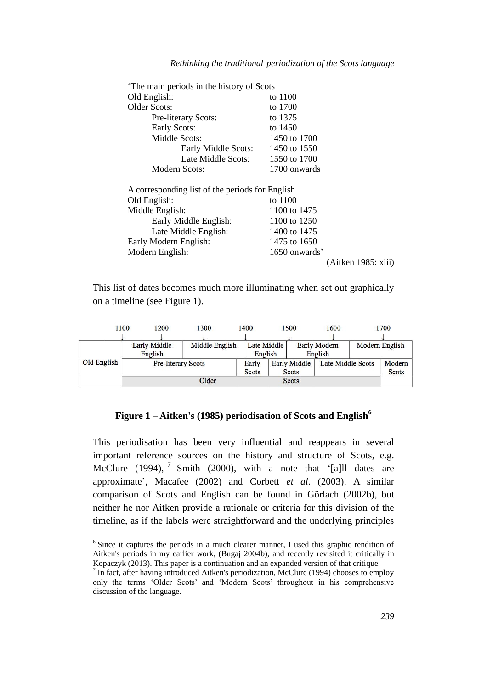| The main periods in the history of Scots        |               |                     |
|-------------------------------------------------|---------------|---------------------|
| Old English:                                    | to 1100       |                     |
| <b>Older Scots:</b>                             | to 1700       |                     |
| Pre-literary Scots:                             | to 1375       |                     |
| Early Scots:                                    | to 1450       |                     |
| Middle Scots:                                   | 1450 to 1700  |                     |
| Early Middle Scots:                             | 1450 to 1550  |                     |
| Late Middle Scots:                              | 1550 to 1700  |                     |
| Modern Scots:                                   | 1700 onwards  |                     |
| A corresponding list of the periods for English |               |                     |
| Old English:                                    | to 1100       |                     |
| Middle English:                                 | 1100 to 1475  |                     |
| Early Middle English:                           | 1100 to 1250  |                     |
| Late Middle English:                            | 1400 to 1475  |                     |
| Early Modern English:                           | 1475 to 1650  |                     |
| Modern English:                                 | 1650 onwards' |                     |
|                                                 |               | (Aitken 1985: xiii) |

*Rethinking the traditional periodization of the Scots language*

This list of dates becomes much more illuminating when set out graphically on a timeline (see Figure 1).

|             | 1100 | 1200                               | 1300           | 1400 |             | 1500                | 1600    |                   | 1700   |
|-------------|------|------------------------------------|----------------|------|-------------|---------------------|---------|-------------------|--------|
|             |      |                                    |                |      |             |                     |         |                   |        |
| Old English |      | <b>Early Middle</b>                | Middle English |      | Late Middle | <b>Early Modern</b> |         | Modern English    |        |
|             |      | English                            |                |      | English     |                     | English |                   |        |
|             |      | <b>Pre-literary Scots</b><br>Early |                |      |             | <b>Early Middle</b> |         | Late Middle Scots | Modern |
|             |      | <b>Scots</b>                       |                |      |             | <b>Scots</b>        |         |                   | Scots  |
|             |      | Older                              |                |      |             | Scots               |         |                   |        |

### **Figure 1 – Aitken's (1985) periodisation of Scots and English<sup>6</sup>**

This periodisation has been very influential and reappears in several important reference sources on the history and structure of Scots, e.g. McClure (1994),  $^7$  Smith (2000), with a note that '[a]ll dates are approximate', Macafee (2002) and Corbett *et al*. (2003). A similar comparison of Scots and English can be found in Görlach (2002b), but neither he nor Aitken provide a rationale or criteria for this division of the timeline, as if the labels were straightforward and the underlying principles

<sup>&</sup>lt;sup>6</sup> Since it captures the periods in a much clearer manner, I used this graphic rendition of Aitken's periods in my earlier work, (Bugaj 2004b), and recently revisited it critically in Kopaczyk (2013). This paper is a continuation and an expanded version of that critique.

 $<sup>7</sup>$  In fact, after having introduced Aitken's periodization, McClure (1994) chooses to employ</sup> only the terms 'Older Scots' and 'Modern Scots' throughout in his comprehensive discussion of the language.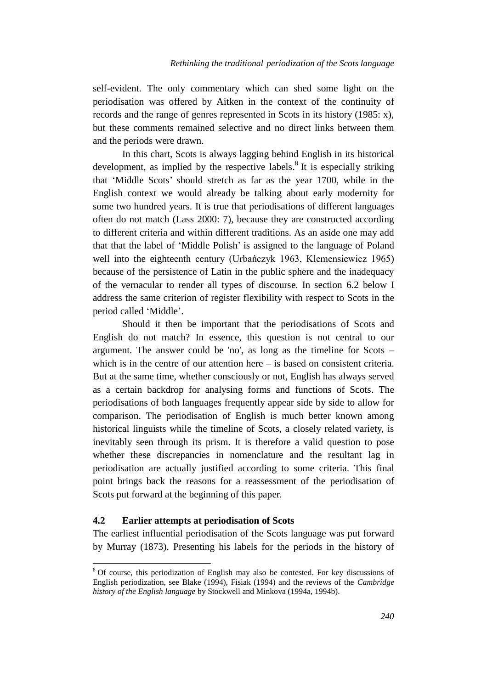self-evident. The only commentary which can shed some light on the periodisation was offered by Aitken in the context of the continuity of records and the range of genres represented in Scots in its history (1985: x), but these comments remained selective and no direct links between them and the periods were drawn.

In this chart, Scots is always lagging behind English in its historical development, as implied by the respective labels.<sup>8</sup> It is especially striking that 'Middle Scots' should stretch as far as the year 1700, while in the English context we would already be talking about early modernity for some two hundred years. It is true that periodisations of different languages often do not match (Lass 2000: 7), because they are constructed according to different criteria and within different traditions. As an aside one may add that that the label of 'Middle Polish' is assigned to the language of Poland well into the eighteenth century (Urbańczyk 1963, Klemensiewicz 1965) because of the persistence of Latin in the public sphere and the inadequacy of the vernacular to render all types of discourse. In section 6.2 below I address the same criterion of register flexibility with respect to Scots in the period called 'Middle'.

Should it then be important that the periodisations of Scots and English do not match? In essence, this question is not central to our argument. The answer could be 'no', as long as the timeline for Scots – which is in the centre of our attention here – is based on consistent criteria. But at the same time, whether consciously or not, English has always served as a certain backdrop for analysing forms and functions of Scots. The periodisations of both languages frequently appear side by side to allow for comparison. The periodisation of English is much better known among historical linguists while the timeline of Scots, a closely related variety, is inevitably seen through its prism. It is therefore a valid question to pose whether these discrepancies in nomenclature and the resultant lag in periodisation are actually justified according to some criteria. This final point brings back the reasons for a reassessment of the periodisation of Scots put forward at the beginning of this paper.

#### **4.2 Earlier attempts at periodisation of Scots**

 $\overline{a}$ 

The earliest influential periodisation of the Scots language was put forward by Murray (1873). Presenting his labels for the periods in the history of

<sup>&</sup>lt;sup>8</sup> Of course, this periodization of English may also be contested. For key discussions of English periodization, see Blake (1994), Fisiak (1994) and the reviews of the *Cambridge history of the English language* by Stockwell and Minkova (1994a, 1994b).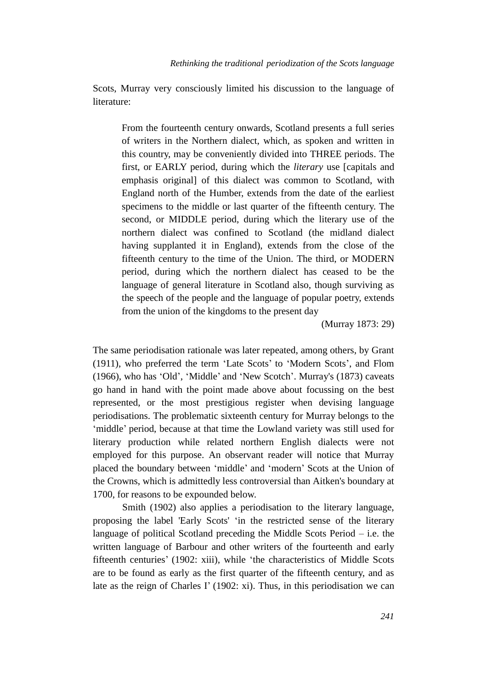Scots, Murray very consciously limited his discussion to the language of literature:

From the fourteenth century onwards, Scotland presents a full series of writers in the Northern dialect, which, as spoken and written in this country, may be conveniently divided into THREE periods. The first, or EARLY period, during which the *literary* use [capitals and emphasis original] of this dialect was common to Scotland, with England north of the Humber, extends from the date of the earliest specimens to the middle or last quarter of the fifteenth century. The second, or MIDDLE period, during which the literary use of the northern dialect was confined to Scotland (the midland dialect having supplanted it in England), extends from the close of the fifteenth century to the time of the Union. The third, or MODERN period, during which the northern dialect has ceased to be the language of general literature in Scotland also, though surviving as the speech of the people and the language of popular poetry, extends from the union of the kingdoms to the present day

(Murray 1873: 29)

The same periodisation rationale was later repeated, among others, by Grant (1911), who preferred the term 'Late Scots' to 'Modern Scots', and Flom (1966), who has 'Old', 'Middle' and 'New Scotch'. Murray's (1873) caveats go hand in hand with the point made above about focussing on the best represented, or the most prestigious register when devising language periodisations. The problematic sixteenth century for Murray belongs to the 'middle' period, because at that time the Lowland variety was still used for literary production while related northern English dialects were not employed for this purpose. An observant reader will notice that Murray placed the boundary between 'middle' and 'modern' Scots at the Union of the Crowns, which is admittedly less controversial than Aitken's boundary at 1700, for reasons to be expounded below.

Smith (1902) also applies a periodisation to the literary language, proposing the label 'Early Scots' 'in the restricted sense of the literary language of political Scotland preceding the Middle Scots Period – i.e. the written language of Barbour and other writers of the fourteenth and early fifteenth centuries' (1902: xiii), while 'the characteristics of Middle Scots are to be found as early as the first quarter of the fifteenth century, and as late as the reign of Charles I' (1902: xi). Thus, in this periodisation we can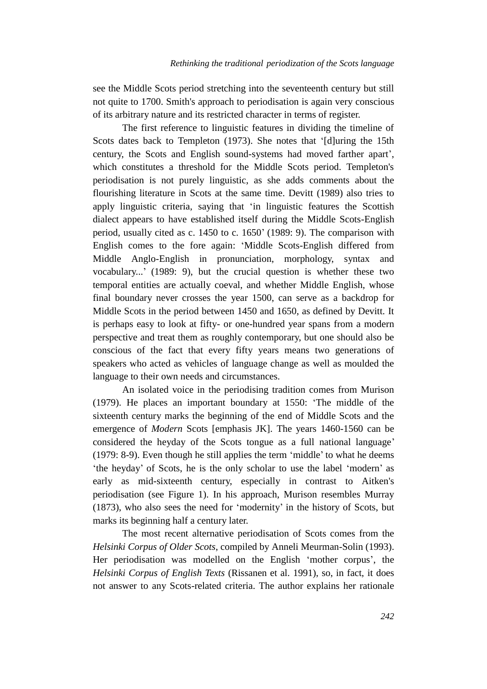see the Middle Scots period stretching into the seventeenth century but still not quite to 1700. Smith's approach to periodisation is again very conscious of its arbitrary nature and its restricted character in terms of register.

The first reference to linguistic features in dividing the timeline of Scots dates back to Templeton (1973). She notes that '[d]uring the 15th century, the Scots and English sound-systems had moved farther apart', which constitutes a threshold for the Middle Scots period. Templeton's periodisation is not purely linguistic, as she adds comments about the flourishing literature in Scots at the same time. Devitt (1989) also tries to apply linguistic criteria, saying that 'in linguistic features the Scottish dialect appears to have established itself during the Middle Scots-English period, usually cited as c. 1450 to c. 1650' (1989: 9). The comparison with English comes to the fore again: 'Middle Scots-English differed from Middle Anglo-English in pronunciation, morphology, syntax and vocabulary...' (1989: 9), but the crucial question is whether these two temporal entities are actually coeval, and whether Middle English, whose final boundary never crosses the year 1500, can serve as a backdrop for Middle Scots in the period between 1450 and 1650, as defined by Devitt. It is perhaps easy to look at fifty- or one-hundred year spans from a modern perspective and treat them as roughly contemporary, but one should also be conscious of the fact that every fifty years means two generations of speakers who acted as vehicles of language change as well as moulded the language to their own needs and circumstances.

An isolated voice in the periodising tradition comes from Murison (1979). He places an important boundary at 1550: 'The middle of the sixteenth century marks the beginning of the end of Middle Scots and the emergence of *Modern* Scots [emphasis JK]. The years 1460-1560 can be considered the heyday of the Scots tongue as a full national language' (1979: 8-9). Even though he still applies the term 'middle' to what he deems 'the heyday' of Scots, he is the only scholar to use the label 'modern' as early as mid-sixteenth century, especially in contrast to Aitken's periodisation (see Figure 1). In his approach, Murison resembles Murray (1873), who also sees the need for 'modernity' in the history of Scots, but marks its beginning half a century later.

The most recent alternative periodisation of Scots comes from the *Helsinki Corpus of Older Scots*, compiled by Anneli Meurman-Solin (1993). Her periodisation was modelled on the English 'mother corpus', the *Helsinki Corpus of English Texts* (Rissanen et al. 1991), so, in fact, it does not answer to any Scots-related criteria. The author explains her rationale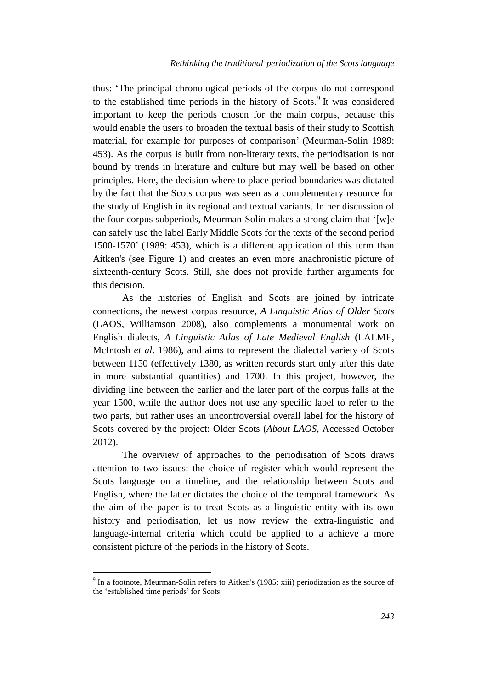thus: 'The principal chronological periods of the corpus do not correspond to the established time periods in the history of Scots.<sup>9</sup> It was considered important to keep the periods chosen for the main corpus, because this would enable the users to broaden the textual basis of their study to Scottish material, for example for purposes of comparison' (Meurman-Solin 1989: 453). As the corpus is built from non-literary texts, the periodisation is not bound by trends in literature and culture but may well be based on other principles. Here, the decision where to place period boundaries was dictated by the fact that the Scots corpus was seen as a complementary resource for the study of English in its regional and textual variants. In her discussion of the four corpus subperiods, Meurman-Solin makes a strong claim that '[w]e can safely use the label Early Middle Scots for the texts of the second period 1500-1570' (1989: 453), which is a different application of this term than Aitken's (see Figure 1) and creates an even more anachronistic picture of sixteenth-century Scots. Still, she does not provide further arguments for this decision.

As the histories of English and Scots are joined by intricate connections, the newest corpus resource, *A Linguistic Atlas of Older Scots* (LAOS, Williamson 2008), also complements a monumental work on English dialects, *A Linguistic Atlas of Late Medieval English* (LALME, McIntosh *et al*. 1986), and aims to represent the dialectal variety of Scots between 1150 (effectively 1380, as written records start only after this date in more substantial quantities) and 1700. In this project, however, the dividing line between the earlier and the later part of the corpus falls at the year 1500, while the author does not use any specific label to refer to the two parts, but rather uses an uncontroversial overall label for the history of Scots covered by the project: Older Scots (*About LAOS*, Accessed October 2012).

The overview of approaches to the periodisation of Scots draws attention to two issues: the choice of register which would represent the Scots language on a timeline, and the relationship between Scots and English, where the latter dictates the choice of the temporal framework. As the aim of the paper is to treat Scots as a linguistic entity with its own history and periodisation, let us now review the extra-linguistic and language-internal criteria which could be applied to a achieve a more consistent picture of the periods in the history of Scots.

 $9$  In a footnote, Meurman-Solin refers to Aitken's (1985: xiii) periodization as the source of the 'established time periods' for Scots.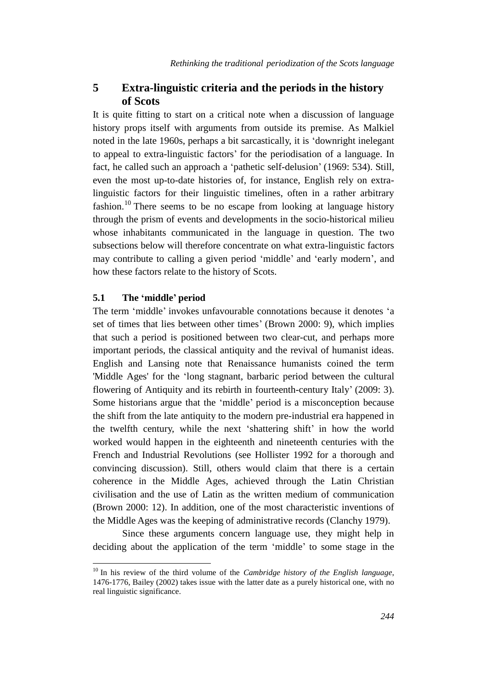# **5 Extra-linguistic criteria and the periods in the history of Scots**

It is quite fitting to start on a critical note when a discussion of language history props itself with arguments from outside its premise. As Malkiel noted in the late 1960s, perhaps a bit sarcastically, it is 'downright inelegant to appeal to extra-linguistic factors' for the periodisation of a language. In fact, he called such an approach a 'pathetic self-delusion' (1969: 534). Still, even the most up-to-date histories of, for instance, English rely on extralinguistic factors for their linguistic timelines, often in a rather arbitrary fashion.<sup>10</sup> There seems to be no escape from looking at language history through the prism of events and developments in the socio-historical milieu whose inhabitants communicated in the language in question. The two subsections below will therefore concentrate on what extra-linguistic factors may contribute to calling a given period 'middle' and 'early modern', and how these factors relate to the history of Scots.

#### **5.1 The 'middle' period**

 $\overline{a}$ 

The term 'middle' invokes unfavourable connotations because it denotes 'a set of times that lies between other times' (Brown 2000: 9), which implies that such a period is positioned between two clear-cut, and perhaps more important periods, the classical antiquity and the revival of humanist ideas. English and Lansing note that Renaissance humanists coined the term 'Middle Ages' for the 'long stagnant, barbaric period between the cultural flowering of Antiquity and its rebirth in fourteenth-century Italy' (2009: 3). Some historians argue that the 'middle' period is a misconception because the shift from the late antiquity to the modern pre-industrial era happened in the twelfth century, while the next 'shattering shift' in how the world worked would happen in the eighteenth and nineteenth centuries with the French and Industrial Revolutions (see Hollister 1992 for a thorough and convincing discussion). Still, others would claim that there is a certain coherence in the Middle Ages, achieved through the Latin Christian civilisation and the use of Latin as the written medium of communication (Brown 2000: 12). In addition, one of the most characteristic inventions of the Middle Ages was the keeping of administrative records (Clanchy 1979).

Since these arguments concern language use, they might help in deciding about the application of the term 'middle' to some stage in the

<sup>10</sup> In his review of the third volume of the *Cambridge history of the English language*, 1476-1776, Bailey (2002) takes issue with the latter date as a purely historical one, with no real linguistic significance.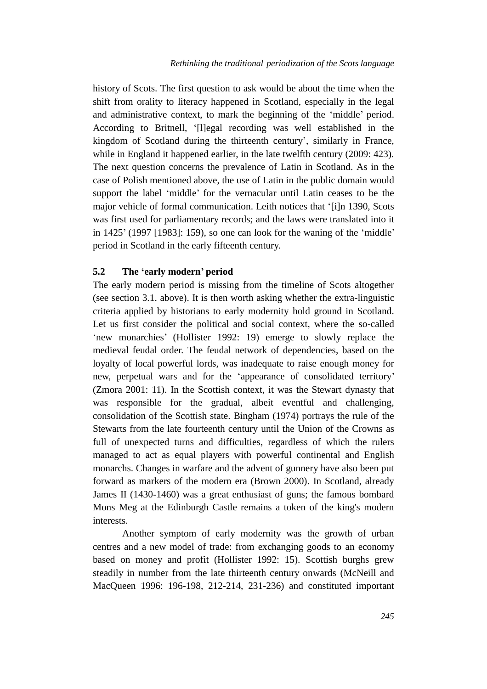history of Scots. The first question to ask would be about the time when the shift from orality to literacy happened in Scotland, especially in the legal and administrative context, to mark the beginning of the 'middle' period. According to Britnell, '[l]egal recording was well established in the kingdom of Scotland during the thirteenth century', similarly in France, while in England it happened earlier, in the late twelfth century (2009: 423). The next question concerns the prevalence of Latin in Scotland. As in the case of Polish mentioned above, the use of Latin in the public domain would support the label 'middle' for the vernacular until Latin ceases to be the major vehicle of formal communication. Leith notices that '[i]n 1390, Scots was first used for parliamentary records; and the laws were translated into it in 1425' (1997 [1983]: 159), so one can look for the waning of the 'middle' period in Scotland in the early fifteenth century.

#### **5.2 The 'early modern' period**

The early modern period is missing from the timeline of Scots altogether (see section 3.1. above). It is then worth asking whether the extra-linguistic criteria applied by historians to early modernity hold ground in Scotland. Let us first consider the political and social context, where the so-called 'new monarchies' (Hollister 1992: 19) emerge to slowly replace the medieval feudal order. The feudal network of dependencies, based on the loyalty of local powerful lords, was inadequate to raise enough money for new, perpetual wars and for the 'appearance of consolidated territory' (Zmora 2001: 11). In the Scottish context, it was the Stewart dynasty that was responsible for the gradual, albeit eventful and challenging, consolidation of the Scottish state. Bingham (1974) portrays the rule of the Stewarts from the late fourteenth century until the Union of the Crowns as full of unexpected turns and difficulties, regardless of which the rulers managed to act as equal players with powerful continental and English monarchs. Changes in warfare and the advent of gunnery have also been put forward as markers of the modern era (Brown 2000). In Scotland, already James II (1430-1460) was a great enthusiast of guns; the famous bombard Mons Meg at the Edinburgh Castle remains a token of the king's modern interests.

Another symptom of early modernity was the growth of urban centres and a new model of trade: from exchanging goods to an economy based on money and profit (Hollister 1992: 15). Scottish burghs grew steadily in number from the late thirteenth century onwards (McNeill and MacQueen 1996: 196-198, 212-214, 231-236) and constituted important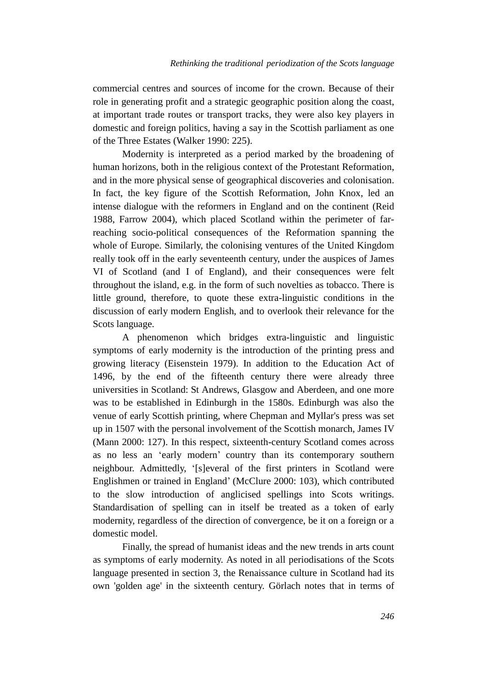commercial centres and sources of income for the crown. Because of their role in generating profit and a strategic geographic position along the coast, at important trade routes or transport tracks, they were also key players in domestic and foreign politics, having a say in the Scottish parliament as one of the Three Estates (Walker 1990: 225).

Modernity is interpreted as a period marked by the broadening of human horizons, both in the religious context of the Protestant Reformation, and in the more physical sense of geographical discoveries and colonisation. In fact, the key figure of the Scottish Reformation, John Knox, led an intense dialogue with the reformers in England and on the continent (Reid 1988, Farrow 2004), which placed Scotland within the perimeter of farreaching socio-political consequences of the Reformation spanning the whole of Europe. Similarly, the colonising ventures of the United Kingdom really took off in the early seventeenth century, under the auspices of James VI of Scotland (and I of England), and their consequences were felt throughout the island, e.g. in the form of such novelties as tobacco. There is little ground, therefore, to quote these extra-linguistic conditions in the discussion of early modern English, and to overlook their relevance for the Scots language.

A phenomenon which bridges extra-linguistic and linguistic symptoms of early modernity is the introduction of the printing press and growing literacy (Eisenstein 1979). In addition to the Education Act of 1496, by the end of the fifteenth century there were already three universities in Scotland: St Andrews, Glasgow and Aberdeen, and one more was to be established in Edinburgh in the 1580s. Edinburgh was also the venue of early Scottish printing, where Chepman and Myllar's press was set up in 1507 with the personal involvement of the Scottish monarch, James IV (Mann 2000: 127). In this respect, sixteenth-century Scotland comes across as no less an 'early modern' country than its contemporary southern neighbour. Admittedly, '[s]everal of the first printers in Scotland were Englishmen or trained in England' (McClure 2000: 103), which contributed to the slow introduction of anglicised spellings into Scots writings. Standardisation of spelling can in itself be treated as a token of early modernity, regardless of the direction of convergence, be it on a foreign or a domestic model.

Finally, the spread of humanist ideas and the new trends in arts count as symptoms of early modernity. As noted in all periodisations of the Scots language presented in section 3, the Renaissance culture in Scotland had its own 'golden age' in the sixteenth century. Görlach notes that in terms of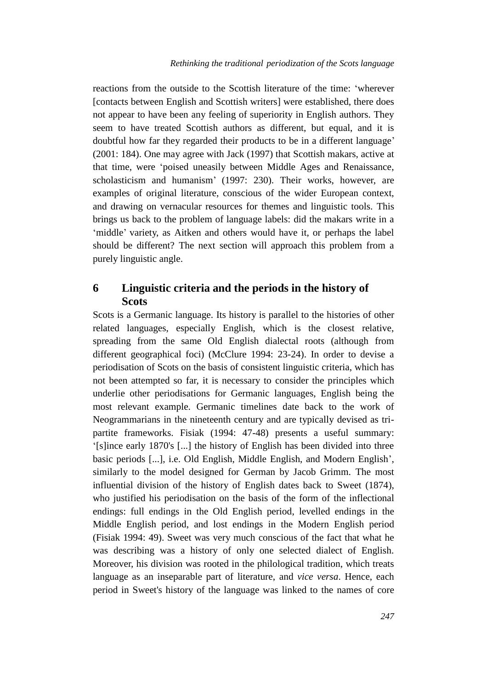reactions from the outside to the Scottish literature of the time: 'wherever [contacts between English and Scottish writers] were established, there does not appear to have been any feeling of superiority in English authors. They seem to have treated Scottish authors as different, but equal, and it is doubtful how far they regarded their products to be in a different language' (2001: 184). One may agree with Jack (1997) that Scottish makars, active at that time, were 'poised uneasily between Middle Ages and Renaissance, scholasticism and humanism' (1997: 230). Their works, however, are examples of original literature, conscious of the wider European context, and drawing on vernacular resources for themes and linguistic tools. This brings us back to the problem of language labels: did the makars write in a 'middle' variety, as Aitken and others would have it, or perhaps the label should be different? The next section will approach this problem from a purely linguistic angle.

# **6 Linguistic criteria and the periods in the history of Scots**

Scots is a Germanic language. Its history is parallel to the histories of other related languages, especially English, which is the closest relative, spreading from the same Old English dialectal roots (although from different geographical foci) (McClure 1994: 23-24). In order to devise a periodisation of Scots on the basis of consistent linguistic criteria, which has not been attempted so far, it is necessary to consider the principles which underlie other periodisations for Germanic languages, English being the most relevant example. Germanic timelines date back to the work of Neogrammarians in the nineteenth century and are typically devised as tripartite frameworks. Fisiak (1994: 47-48) presents a useful summary: '[s]ince early 1870's [...] the history of English has been divided into three basic periods [...], i.e. Old English, Middle English, and Modern English', similarly to the model designed for German by Jacob Grimm. The most influential division of the history of English dates back to Sweet (1874), who justified his periodisation on the basis of the form of the inflectional endings: full endings in the Old English period, levelled endings in the Middle English period, and lost endings in the Modern English period (Fisiak 1994: 49). Sweet was very much conscious of the fact that what he was describing was a history of only one selected dialect of English. Moreover, his division was rooted in the philological tradition, which treats language as an inseparable part of literature, and *vice versa*. Hence, each period in Sweet's history of the language was linked to the names of core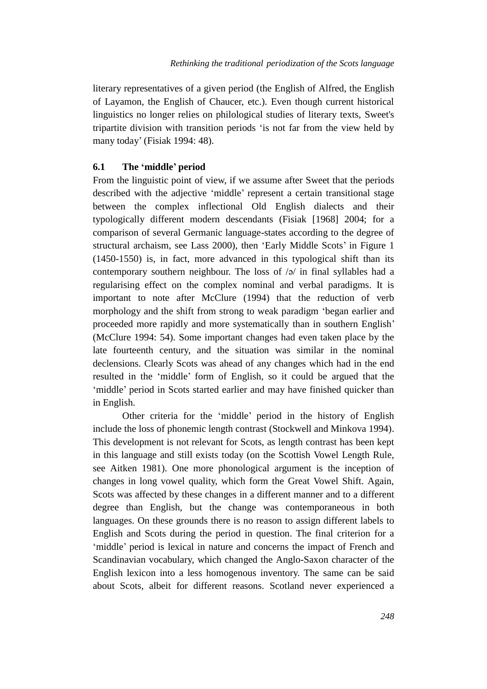literary representatives of a given period (the English of Alfred, the English of Layamon, the English of Chaucer, etc.). Even though current historical linguistics no longer relies on philological studies of literary texts, Sweet's tripartite division with transition periods 'is not far from the view held by many today' (Fisiak 1994: 48).

#### **6.1 The 'middle' period**

From the linguistic point of view, if we assume after Sweet that the periods described with the adjective 'middle' represent a certain transitional stage between the complex inflectional Old English dialects and their typologically different modern descendants (Fisiak [1968] 2004; for a comparison of several Germanic language-states according to the degree of structural archaism, see Lass 2000), then 'Early Middle Scots' in Figure 1 (1450-1550) is, in fact, more advanced in this typological shift than its contemporary southern neighbour. The loss of /ə/ in final syllables had a regularising effect on the complex nominal and verbal paradigms. It is important to note after McClure (1994) that the reduction of verb morphology and the shift from strong to weak paradigm 'began earlier and proceeded more rapidly and more systematically than in southern English' (McClure 1994: 54). Some important changes had even taken place by the late fourteenth century, and the situation was similar in the nominal declensions. Clearly Scots was ahead of any changes which had in the end resulted in the 'middle' form of English, so it could be argued that the 'middle' period in Scots started earlier and may have finished quicker than in English.

Other criteria for the 'middle' period in the history of English include the loss of phonemic length contrast (Stockwell and Minkova 1994). This development is not relevant for Scots, as length contrast has been kept in this language and still exists today (on the Scottish Vowel Length Rule, see Aitken 1981). One more phonological argument is the inception of changes in long vowel quality, which form the Great Vowel Shift. Again, Scots was affected by these changes in a different manner and to a different degree than English, but the change was contemporaneous in both languages. On these grounds there is no reason to assign different labels to English and Scots during the period in question. The final criterion for a 'middle' period is lexical in nature and concerns the impact of French and Scandinavian vocabulary, which changed the Anglo-Saxon character of the English lexicon into a less homogenous inventory. The same can be said about Scots, albeit for different reasons. Scotland never experienced a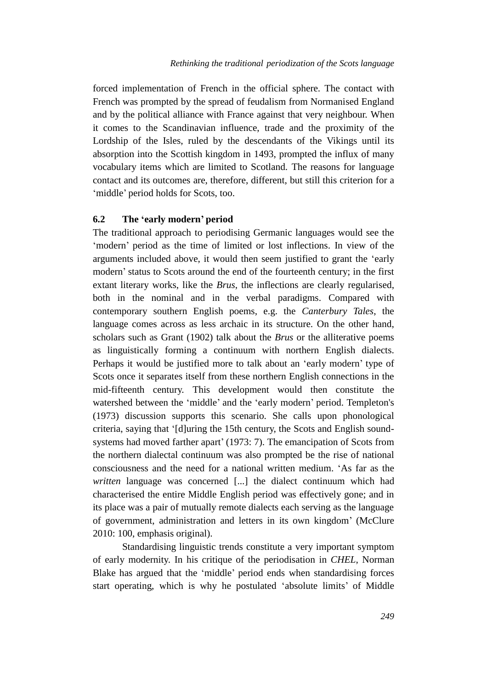forced implementation of French in the official sphere. The contact with French was prompted by the spread of feudalism from Normanised England and by the political alliance with France against that very neighbour. When it comes to the Scandinavian influence, trade and the proximity of the Lordship of the Isles, ruled by the descendants of the Vikings until its absorption into the Scottish kingdom in 1493, prompted the influx of many vocabulary items which are limited to Scotland. The reasons for language contact and its outcomes are, therefore, different, but still this criterion for a 'middle' period holds for Scots, too.

#### **6.2 The 'early modern' period**

The traditional approach to periodising Germanic languages would see the 'modern' period as the time of limited or lost inflections. In view of the arguments included above, it would then seem justified to grant the 'early modern' status to Scots around the end of the fourteenth century; in the first extant literary works, like the *Brus*, the inflections are clearly regularised, both in the nominal and in the verbal paradigms. Compared with contemporary southern English poems, e.g. the *Canterbury Tales*, the language comes across as less archaic in its structure. On the other hand, scholars such as Grant (1902) talk about the *Brus* or the alliterative poems as linguistically forming a continuum with northern English dialects. Perhaps it would be justified more to talk about an 'early modern' type of Scots once it separates itself from these northern English connections in the mid-fifteenth century. This development would then constitute the watershed between the 'middle' and the 'early modern' period. Templeton's (1973) discussion supports this scenario. She calls upon phonological criteria, saying that '[d]uring the 15th century, the Scots and English soundsystems had moved farther apart' (1973: 7). The emancipation of Scots from the northern dialectal continuum was also prompted be the rise of national consciousness and the need for a national written medium. 'As far as the *written* language was concerned [...] the dialect continuum which had characterised the entire Middle English period was effectively gone; and in its place was a pair of mutually remote dialects each serving as the language of government, administration and letters in its own kingdom' (McClure 2010: 100, emphasis original).

Standardising linguistic trends constitute a very important symptom of early modernity. In his critique of the periodisation in *CHEL*, Norman Blake has argued that the 'middle' period ends when standardising forces start operating, which is why he postulated 'absolute limits' of Middle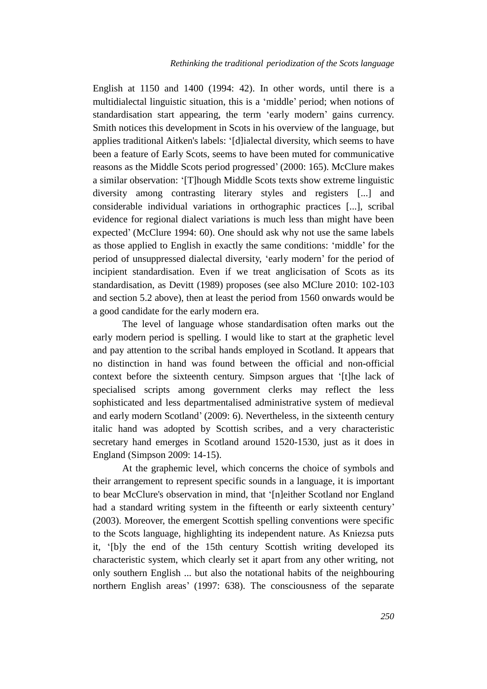English at 1150 and 1400 (1994: 42). In other words, until there is a multidialectal linguistic situation, this is a 'middle' period; when notions of standardisation start appearing, the term 'early modern' gains currency. Smith notices this development in Scots in his overview of the language, but applies traditional Aitken's labels: '[d]ialectal diversity, which seems to have been a feature of Early Scots, seems to have been muted for communicative reasons as the Middle Scots period progressed' (2000: 165). McClure makes a similar observation: '[T]hough Middle Scots texts show extreme linguistic diversity among contrasting literary styles and registers [...] and considerable individual variations in orthographic practices [...], scribal evidence for regional dialect variations is much less than might have been expected' (McClure 1994: 60). One should ask why not use the same labels as those applied to English in exactly the same conditions: 'middle' for the period of unsuppressed dialectal diversity, 'early modern' for the period of incipient standardisation. Even if we treat anglicisation of Scots as its standardisation, as Devitt (1989) proposes (see also MClure 2010: 102-103 and section 5.2 above), then at least the period from 1560 onwards would be a good candidate for the early modern era.

The level of language whose standardisation often marks out the early modern period is spelling. I would like to start at the graphetic level and pay attention to the scribal hands employed in Scotland. It appears that no distinction in hand was found between the official and non-official context before the sixteenth century. Simpson argues that '[t]he lack of specialised scripts among government clerks may reflect the less sophisticated and less departmentalised administrative system of medieval and early modern Scotland' (2009: 6). Nevertheless, in the sixteenth century italic hand was adopted by Scottish scribes, and a very characteristic secretary hand emerges in Scotland around 1520-1530, just as it does in England (Simpson 2009: 14-15).

At the graphemic level, which concerns the choice of symbols and their arrangement to represent specific sounds in a language, it is important to bear McClure's observation in mind, that '[n]either Scotland nor England had a standard writing system in the fifteenth or early sixteenth century' (2003). Moreover, the emergent Scottish spelling conventions were specific to the Scots language, highlighting its independent nature. As Kniezsa puts it, '[b]y the end of the 15th century Scottish writing developed its characteristic system, which clearly set it apart from any other writing, not only southern English ... but also the notational habits of the neighbouring northern English areas' (1997: 638). The consciousness of the separate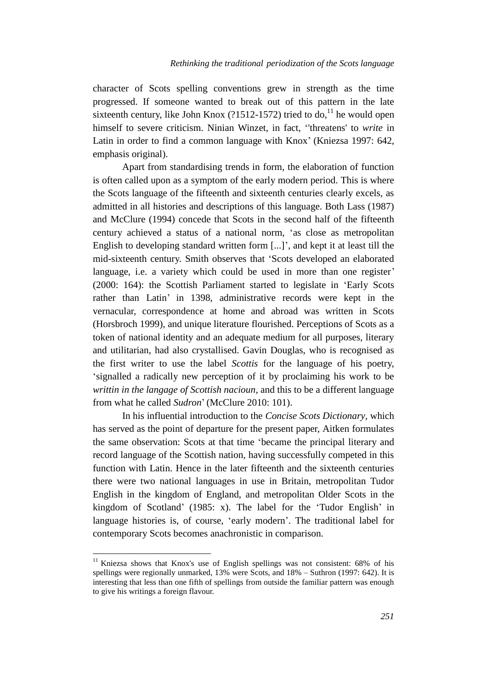character of Scots spelling conventions grew in strength as the time progressed. If someone wanted to break out of this pattern in the late sixteenth century, like John Knox  $(21512-1572)$  tried to do, <sup>11</sup> he would open himself to severe criticism. Ninian Winzet, in fact, ''threatens' to *write* in Latin in order to find a common language with Knox' (Kniezsa 1997: 642, emphasis original).

Apart from standardising trends in form, the elaboration of function is often called upon as a symptom of the early modern period. This is where the Scots language of the fifteenth and sixteenth centuries clearly excels, as admitted in all histories and descriptions of this language. Both Lass (1987) and McClure (1994) concede that Scots in the second half of the fifteenth century achieved a status of a national norm, 'as close as metropolitan English to developing standard written form [...]', and kept it at least till the mid-sixteenth century. Smith observes that 'Scots developed an elaborated language, i.e. a variety which could be used in more than one register' (2000: 164): the Scottish Parliament started to legislate in 'Early Scots rather than Latin' in 1398, administrative records were kept in the vernacular, correspondence at home and abroad was written in Scots (Horsbroch 1999), and unique literature flourished. Perceptions of Scots as a token of national identity and an adequate medium for all purposes, literary and utilitarian, had also crystallised. Gavin Douglas, who is recognised as the first writer to use the label *Scottis* for the language of his poetry, 'signalled a radically new perception of it by proclaiming his work to be *writtin in the langage of Scottish nacioun*, and this to be a different language from what he called *Sudron*' (McClure 2010: 101).

In his influential introduction to the *Concise Scots Dictionary*, which has served as the point of departure for the present paper, Aitken formulates the same observation: Scots at that time 'became the principal literary and record language of the Scottish nation, having successfully competed in this function with Latin. Hence in the later fifteenth and the sixteenth centuries there were two national languages in use in Britain, metropolitan Tudor English in the kingdom of England, and metropolitan Older Scots in the kingdom of Scotland' (1985: x). The label for the 'Tudor English' in language histories is, of course, 'early modern'. The traditional label for contemporary Scots becomes anachronistic in comparison.

<sup>&</sup>lt;sup>11</sup> Kniezsa shows that Knox's use of English spellings was not consistent: 68% of his spellings were regionally unmarked, 13% were Scots, and 18% – Suthron (1997: 642). It is interesting that less than one fifth of spellings from outside the familiar pattern was enough to give his writings a foreign flavour.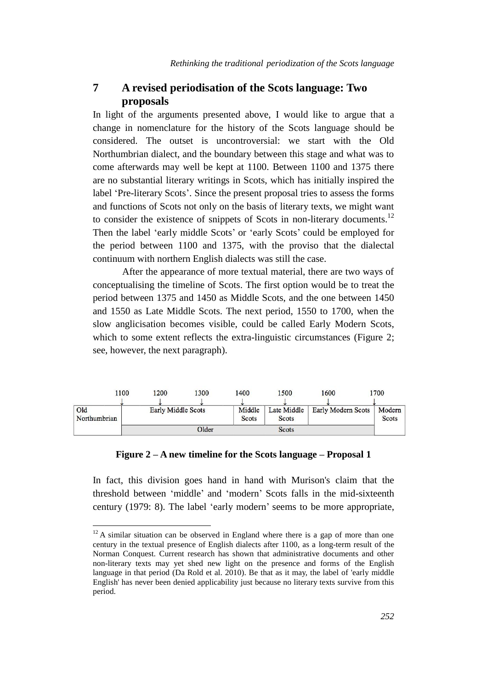# **7 A revised periodisation of the Scots language: Two proposals**

In light of the arguments presented above, I would like to argue that a change in nomenclature for the history of the Scots language should be considered. The outset is uncontroversial: we start with the Old Northumbrian dialect, and the boundary between this stage and what was to come afterwards may well be kept at 1100. Between 1100 and 1375 there are no substantial literary writings in Scots, which has initially inspired the label 'Pre-literary Scots'. Since the present proposal tries to assess the forms and functions of Scots not only on the basis of literary texts, we might want to consider the existence of snippets of Scots in non-literary documents.<sup>12</sup> Then the label 'early middle Scots' or 'early Scots' could be employed for the period between 1100 and 1375, with the proviso that the dialectal continuum with northern English dialects was still the case.

After the appearance of more textual material, there are two ways of conceptualising the timeline of Scots. The first option would be to treat the period between 1375 and 1450 as Middle Scots, and the one between 1450 and 1550 as Late Middle Scots. The next period, 1550 to 1700, when the slow anglicisation becomes visible, could be called Early Modern Scots, which to some extent reflects the extra-linguistic circumstances (Figure 2; see, however, the next paragraph).

|                     | 1100 | 200                | 1300  | 1400                   | 1500                 | 1600                      | 1700            |
|---------------------|------|--------------------|-------|------------------------|----------------------|---------------------------|-----------------|
| Old<br>Northumbrian |      | Early Middle Scots |       | Middle<br><b>Scots</b> | Late Middle<br>Scots | <b>Early Modern Scots</b> | Modern<br>Scots |
|                     |      |                    | Older |                        | <b>Scots</b>         |                           |                 |

#### **Figure 2 – A new timeline for the Scots language – Proposal 1**

In fact, this division goes hand in hand with Murison's claim that the threshold between 'middle' and 'modern' Scots falls in the mid-sixteenth century (1979: 8). The label 'early modern' seems to be more appropriate,

 $12$  A similar situation can be observed in England where there is a gap of more than one century in the textual presence of English dialects after 1100, as a long-term result of the Norman Conquest. Current research has shown that administrative documents and other non-literary texts may yet shed new light on the presence and forms of the English language in that period (Da Rold et al. 2010). Be that as it may, the label of 'early middle English' has never been denied applicability just because no literary texts survive from this period.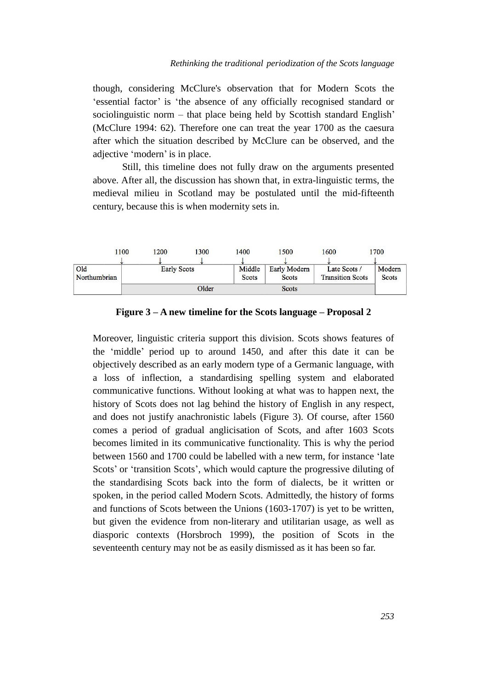though, considering McClure's observation that for Modern Scots the 'essential factor' is 'the absence of any officially recognised standard or sociolinguistic norm – that place being held by Scottish standard English' (McClure 1994: 62). Therefore one can treat the year 1700 as the caesura after which the situation described by McClure can be observed, and the adjective 'modern' is in place.

Still, this timeline does not fully draw on the arguments presented above. After all, the discussion has shown that, in extra-linguistic terms, the medieval milieu in Scotland may be postulated until the mid-fifteenth century, because this is when modernity sets in.

|                     | 1100 | 1200               | 1300  | 1400                   | 1500                                | 1600                                    | 1700                   |
|---------------------|------|--------------------|-------|------------------------|-------------------------------------|-----------------------------------------|------------------------|
| Old<br>Northumbrian |      | <b>Early Scots</b> |       | Middle<br><b>Scots</b> | <b>Early Modern</b><br><b>Scots</b> | Late Scots /<br><b>Transition Scots</b> | Modern<br><b>Scots</b> |
|                     |      |                    | Older |                        | <b>Scots</b>                        |                                         |                        |

**Figure 3 – A new timeline for the Scots language – Proposal 2**

Moreover, linguistic criteria support this division. Scots shows features of the 'middle' period up to around 1450, and after this date it can be objectively described as an early modern type of a Germanic language, with a loss of inflection, a standardising spelling system and elaborated communicative functions. Without looking at what was to happen next, the history of Scots does not lag behind the history of English in any respect, and does not justify anachronistic labels (Figure 3). Of course, after 1560 comes a period of gradual anglicisation of Scots, and after 1603 Scots becomes limited in its communicative functionality. This is why the period between 1560 and 1700 could be labelled with a new term, for instance 'late Scots' or 'transition Scots', which would capture the progressive diluting of the standardising Scots back into the form of dialects, be it written or spoken, in the period called Modern Scots. Admittedly, the history of forms and functions of Scots between the Unions (1603-1707) is yet to be written, but given the evidence from non-literary and utilitarian usage, as well as diasporic contexts (Horsbroch 1999), the position of Scots in the seventeenth century may not be as easily dismissed as it has been so far.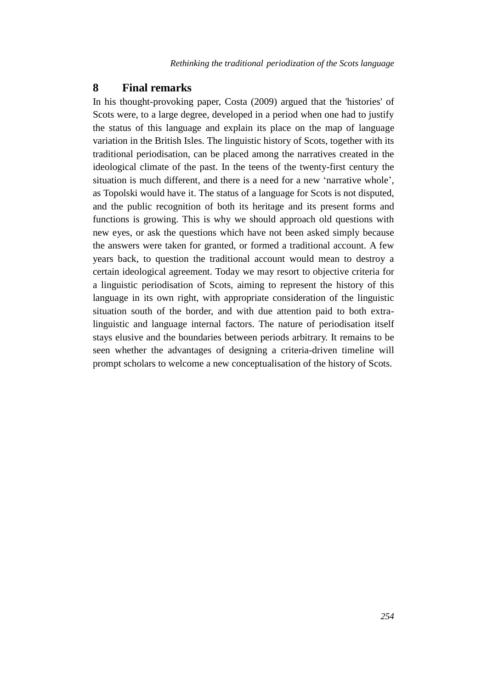### **8 Final remarks**

In his thought-provoking paper, Costa (2009) argued that the 'histories' of Scots were, to a large degree, developed in a period when one had to justify the status of this language and explain its place on the map of language variation in the British Isles. The linguistic history of Scots, together with its traditional periodisation, can be placed among the narratives created in the ideological climate of the past. In the teens of the twenty-first century the situation is much different, and there is a need for a new 'narrative whole', as Topolski would have it. The status of a language for Scots is not disputed, and the public recognition of both its heritage and its present forms and functions is growing. This is why we should approach old questions with new eyes, or ask the questions which have not been asked simply because the answers were taken for granted, or formed a traditional account. A few years back, to question the traditional account would mean to destroy a certain ideological agreement. Today we may resort to objective criteria for a linguistic periodisation of Scots, aiming to represent the history of this language in its own right, with appropriate consideration of the linguistic situation south of the border, and with due attention paid to both extralinguistic and language internal factors. The nature of periodisation itself stays elusive and the boundaries between periods arbitrary. It remains to be seen whether the advantages of designing a criteria-driven timeline will prompt scholars to welcome a new conceptualisation of the history of Scots.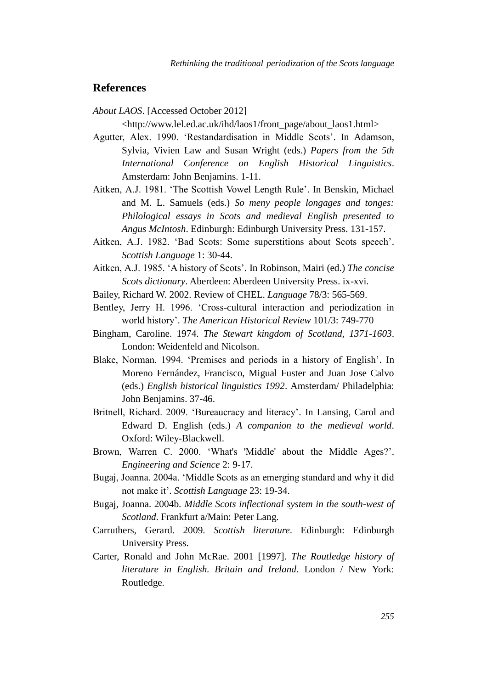# **References**

*About LAOS*. [Accessed October 2012]

<http://www.lel.ed.ac.uk/ihd/laos1/front\_page/about\_laos1.html>

- Agutter, Alex. 1990. 'Restandardisation in Middle Scots'. In Adamson, Sylvia, Vivien Law and Susan Wright (eds.) *Papers from the 5th International Conference on English Historical Linguistics*. Amsterdam: John Benjamins. 1-11.
- Aitken, A.J. 1981. 'The Scottish Vowel Length Rule'. In Benskin, Michael and M. L. Samuels (eds.) *So meny people longages and tonges: Philological essays in Scots and medieval English presented to Angus McIntosh*. Edinburgh: Edinburgh University Press. 131-157.
- Aitken, A.J. 1982. 'Bad Scots: Some superstitions about Scots speech'. *Scottish Language* 1: 30-44.
- Aitken, A.J. 1985. 'A history of Scots'. In Robinson, Mairi (ed.) *The concise Scots dictionary*. Aberdeen: Aberdeen University Press. ix-xvi.
- Bailey, Richard W. 2002. Review of CHEL. *Language* 78/3: 565-569.
- Bentley, Jerry H. 1996. 'Cross-cultural interaction and periodization in world history'. *The American Historical Review* 101/3: 749-770
- Bingham, Caroline. 1974. *The Stewart kingdom of Scotland, 1371-1603*. London: Weidenfeld and Nicolson.
- Blake, Norman. 1994. 'Premises and periods in a history of English'. In Moreno Fernández, Francisco, Migual Fuster and Juan Jose Calvo (eds.) *English historical linguistics 1992*. Amsterdam/ Philadelphia: John Benjamins. 37-46.
- Britnell, Richard. 2009. 'Bureaucracy and literacy'. In Lansing, Carol and Edward D. English (eds.) *A companion to the medieval world*. Oxford: Wiley-Blackwell.
- Brown, Warren C. 2000. 'What's 'Middle' about the Middle Ages?'. *Engineering and Science* 2: 9-17.
- Bugaj, Joanna. 2004a. 'Middle Scots as an emerging standard and why it did not make it'. *Scottish Language* 23: 19-34.
- Bugaj, Joanna. 2004b. *Middle Scots inflectional system in the south-west of Scotland*. Frankfurt a/Main: Peter Lang.
- Carruthers, Gerard. 2009. *Scottish literature*. Edinburgh: Edinburgh University Press.
- Carter, Ronald and John McRae. 2001 [1997]. *The Routledge history of literature in English. Britain and Ireland*. London / New York: Routledge.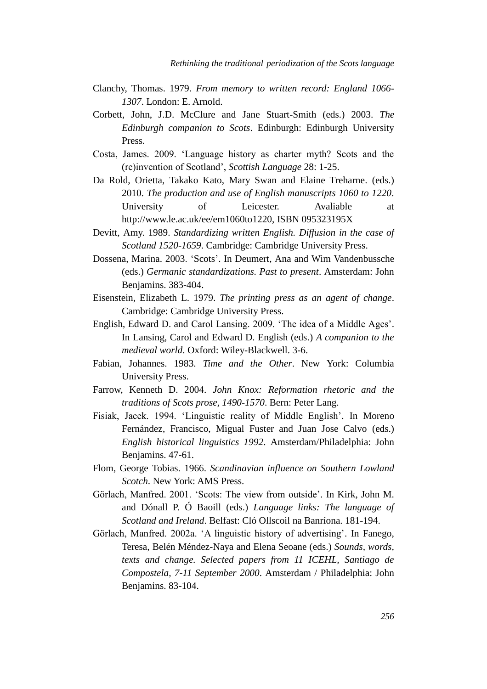- Clanchy, Thomas. 1979. *From memory to written record: England 1066- 1307*. London: E. Arnold.
- Corbett, John, J.D. McClure and Jane Stuart-Smith (eds.) 2003. *The Edinburgh companion to Scots*. Edinburgh: Edinburgh University Press.
- Costa, James. 2009. 'Language history as charter myth? Scots and the (re)invention of Scotland', *Scottish Language* 28: 1-25.
- Da Rold, Orietta, Takako Kato, Mary Swan and Elaine Treharne. (eds.) 2010. *The production and use of English manuscripts 1060 to 1220*. University of Leicester. Avaliable at http://www.le.ac.uk/ee/em1060to1220, ISBN 095323195X
- Devitt, Amy. 1989. *Standardizing written English. Diffusion in the case of Scotland 1520-1659*. Cambridge: Cambridge University Press.
- Dossena, Marina. 2003. 'Scots'. In Deumert, Ana and Wim Vandenbussche (eds.) *Germanic standardizations. Past to present*. Amsterdam: John Benjamins. 383-404.
- Eisenstein, Elizabeth L. 1979. *The printing press as an agent of change*. Cambridge: Cambridge University Press.
- English, Edward D. and Carol Lansing. 2009. 'The idea of a Middle Ages'. In Lansing, Carol and Edward D. English (eds.) *A companion to the medieval world*. Oxford: Wiley-Blackwell. 3-6.
- Fabian, Johannes. 1983. *Time and the Other*. New York: Columbia University Press.
- Farrow, Kenneth D. 2004. *John Knox: Reformation rhetoric and the traditions of Scots prose, 1490-1570*. Bern: Peter Lang.
- Fisiak, Jacek. 1994. 'Linguistic reality of Middle English'. In Moreno Fernández, Francisco, Migual Fuster and Juan Jose Calvo (eds.) *English historical linguistics 1992*. Amsterdam/Philadelphia: John Benjamins. 47-61.
- Flom, George Tobias. 1966. *Scandinavian influence on Southern Lowland Scotch*. New York: AMS Press.
- Görlach, Manfred. 2001. 'Scots: The view from outside'. In Kirk, John M. and Dónall P. Ó Baoill (eds.) *Language links: The language of Scotland and Ireland*. Belfast: Cló Ollscoil na Banríona. 181-194.
- Görlach, Manfred. 2002a. 'A linguistic history of advertising'. In Fanego, Teresa, Belén Méndez-Naya and Elena Seoane (eds.) *Sounds, words, texts and change. Selected papers from 11 ICEHL, Santiago de Compostela, 7-11 September 2000*. Amsterdam / Philadelphia: John Benjamins. 83-104.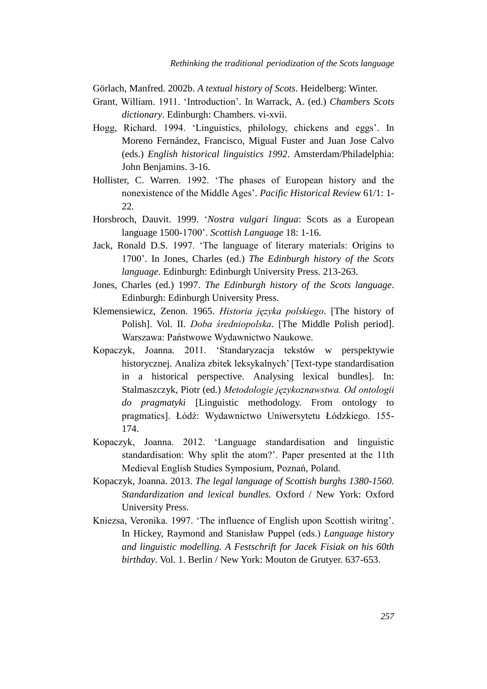Görlach, Manfred. 2002b. *A textual history of Scots*. Heidelberg: Winter.

- Grant, William. 1911. 'Introduction'. In Warrack, A. (ed.) *Chambers Scots dictionary*. Edinburgh: Chambers. vi-xvii.
- Hogg, Richard. 1994. 'Linguistics, philology, chickens and eggs'. In Moreno Fernández, Francisco, Migual Fuster and Juan Jose Calvo (eds.) *English historical linguistics 1992*. Amsterdam/Philadelphia: John Benjamins. 3-16.
- Hollister, C. Warren. 1992. 'The phases of European history and the nonexistence of the Middle Ages'. *Pacific Historical Review* 61/1: 1- 22.
- Horsbroch, Dauvit. 1999. '*Nostra vulgari lingua*: Scots as a European language 1500-1700'. *Scottish Language* 18: 1-16.
- Jack, Ronald D.S. 1997. 'The language of literary materials: Origins to 1700'. In Jones, Charles (ed.) *The Edinburgh history of the Scots language*. Edinburgh: Edinburgh University Press. 213-263.
- Jones, Charles (ed.) 1997. *The Edinburgh history of the Scots language*. Edinburgh: Edinburgh University Press.
- Klemensiewicz, Zenon. 1965. *Historia języka polskiego*. [The history of Polish]. Vol. II. *Doba średniopolska*. [The Middle Polish period]. Warszawa: Państwowe Wydawnictwo Naukowe.
- Kopaczyk, Joanna. 2011. 'Standaryzacja tekstów w perspektywie historycznej. Analiza zbitek leksykalnych' [Text-type standardisation in a historical perspective. Analysing lexical bundles]. In: Stalmaszczyk, Piotr (ed.) *Metodologie językoznawstwa. Od ontologii do pragmatyki* [Linguistic methodology. From ontology to pragmatics]. Łódź: Wydawnictwo Uniwersytetu Łódzkiego. 155- 174.
- Kopaczyk, Joanna. 2012. 'Language standardisation and linguistic standardisation: Why split the atom?'. Paper presented at the 11th Medieval English Studies Symposium, Poznań, Poland.
- Kopaczyk, Joanna. 2013. *The legal language of Scottish burghs 1380-1560. Standardization and lexical bundles.* Oxford / New York: Oxford University Press.
- Kniezsa, Veronika. 1997. 'The influence of English upon Scottish wiritng'. In Hickey, Raymond and Stanisław Puppel (eds.) *Language history and linguistic modelling. A Festschrift for Jacek Fisiak on his 60th birthday*. Vol. 1. Berlin / New York: Mouton de Grutyer. 637-653.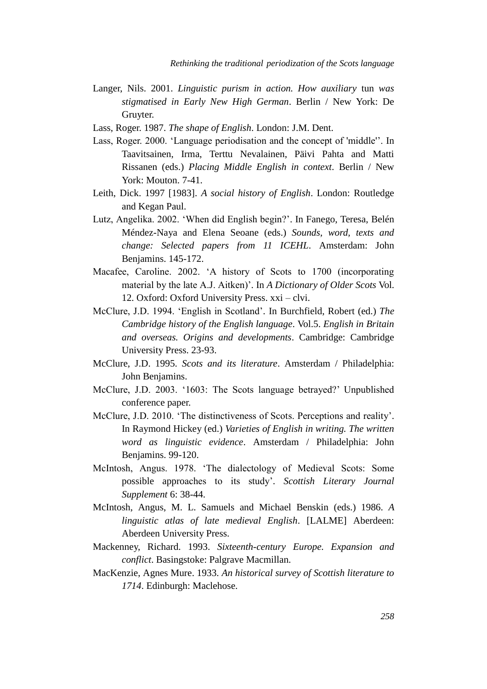- Langer, Nils. 2001. *Linguistic purism in action. How auxiliary* tun *was stigmatised in Early New High German*. Berlin / New York: De Gruyter.
- Lass, Roger. 1987. *The shape of English*. London: J.M. Dent.
- Lass, Roger. 2000. 'Language periodisation and the concept of 'middle''. In Taavitsainen, Irma, Terttu Nevalainen, Päivi Pahta and Matti Rissanen (eds.) *Placing Middle English in context*. Berlin / New York: Mouton. 7-41.
- Leith, Dick. 1997 [1983]. *A social history of English*. London: Routledge and Kegan Paul.
- Lutz, Angelika. 2002. 'When did English begin?'. In Fanego, Teresa, Belén Méndez-Naya and Elena Seoane (eds.) *Sounds, word, texts and change: Selected papers from 11 ICEHL*. Amsterdam: John Benjamins. 145-172.
- Macafee, Caroline. 2002. 'A history of Scots to 1700 (incorporating material by the late A.J. Aitken)'. In *A Dictionary of Older Scots* Vol. 12. Oxford: Oxford University Press. xxi – clvi.
- McClure, J.D. 1994. 'English in Scotland'. In Burchfield, Robert (ed.) *The Cambridge history of the English language*. Vol.5. *English in Britain and overseas. Origins and developments*. Cambridge: Cambridge University Press. 23-93.
- McClure, J.D. 1995. *Scots and its literature*. Amsterdam / Philadelphia: John Benjamins.
- McClure, J.D. 2003. '1603: The Scots language betrayed?' Unpublished conference paper.
- McClure, J.D. 2010. 'The distinctiveness of Scots. Perceptions and reality'. In Raymond Hickey (ed.) *Varieties of English in writing. The written word as linguistic evidence*. Amsterdam / Philadelphia: John Benjamins. 99-120.
- McIntosh, Angus. 1978. 'The dialectology of Medieval Scots: Some possible approaches to its study'. *Scottish Literary Journal Supplement* 6: 38-44.
- McIntosh, Angus, M. L. Samuels and Michael Benskin (eds.) 1986. *A linguistic atlas of late medieval English*. [LALME] Aberdeen: Aberdeen University Press.
- Mackenney, Richard. 1993. *Sixteenth-century Europe. Expansion and conflict*. Basingstoke: Palgrave Macmillan.
- MacKenzie, Agnes Mure. 1933. *An historical survey of Scottish literature to 1714*. Edinburgh: Maclehose.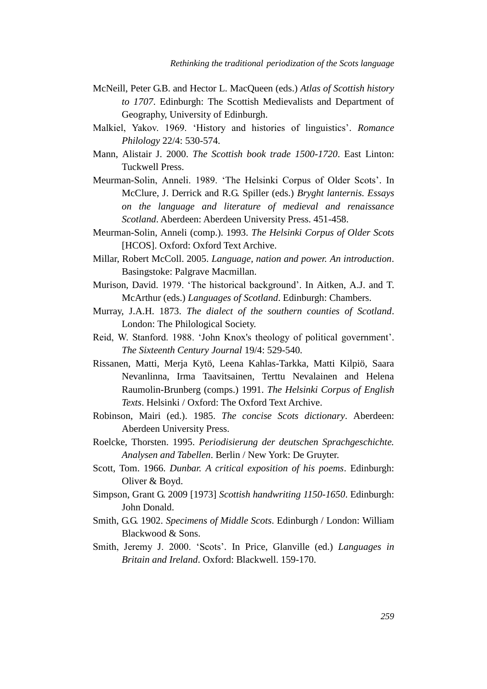- McNeill, Peter G.B. and Hector L. MacQueen (eds.) *Atlas of Scottish history to 1707*. Edinburgh: The Scottish Medievalists and Department of Geography, University of Edinburgh.
- Malkiel, Yakov. 1969. 'History and histories of linguistics'. *Romance Philology* 22/4: 530-574.
- Mann, Alistair J. 2000. *The Scottish book trade 1500-1720*. East Linton: Tuckwell Press.
- Meurman-Solin, Anneli. 1989. 'The Helsinki Corpus of Older Scots'. In McClure, J. Derrick and R.G. Spiller (eds.) *Bryght lanternis. Essays on the language and literature of medieval and renaissance Scotland*. Aberdeen: Aberdeen University Press. 451-458.
- Meurman-Solin, Anneli (comp.). 1993. *The Helsinki Corpus of Older Scots*  [HCOS]. Oxford: Oxford Text Archive.
- Millar, Robert McColl. 2005. *Language, nation and power. An introduction*. Basingstoke: Palgrave Macmillan.
- Murison, David. 1979. 'The historical background'. In Aitken, A.J. and T. McArthur (eds.) *Languages of Scotland*. Edinburgh: Chambers.
- Murray, J.A.H. 1873. *The dialect of the southern counties of Scotland*. London: The Philological Society.
- Reid, W. Stanford. 1988. 'John Knox's theology of political government'. *The Sixteenth Century Journal* 19/4: 529-540.
- Rissanen, Matti, Merja Kytö, Leena Kahlas-Tarkka, Matti Kilpiö, Saara Nevanlinna, Irma Taavitsainen, Terttu Nevalainen and Helena Raumolin-Brunberg (comps.) 1991. *The Helsinki Corpus of English Texts*. Helsinki / Oxford: The Oxford Text Archive.
- Robinson, Mairi (ed.). 1985. *The concise Scots dictionary*. Aberdeen: Aberdeen University Press.
- Roelcke, Thorsten. 1995. *Periodisierung der deutschen Sprachgeschichte. Analysen and Tabellen*. Berlin / New York: De Gruyter.
- Scott, Tom. 1966. *Dunbar. A critical exposition of his poems*. Edinburgh: Oliver & Boyd.
- Simpson, Grant G. 2009 [1973] *Scottish handwriting 1150-1650*. Edinburgh: John Donald.
- Smith, G.G. 1902. *Specimens of Middle Scots*. Edinburgh / London: William Blackwood & Sons.
- Smith, Jeremy J. 2000. 'Scots'. In Price, Glanville (ed.) *Languages in Britain and Ireland*. Oxford: Blackwell. 159-170.